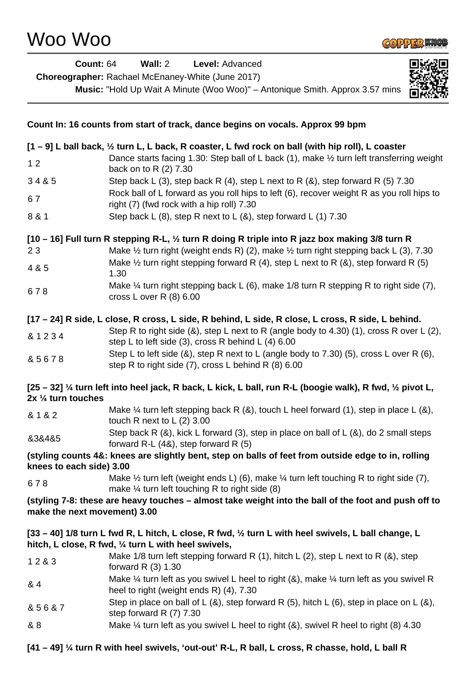

| <b>Count: 64</b>                                                                                                                        | Wall: 2<br>Level: Advanced<br>Choreographer: Rachael McEnaney-White (June 2017)<br>Music: "Hold Up Wait A Minute (Woo Woo)" - Antonique Smith. Approx 3.57 mins                                                                                                                                                         |  |
|-----------------------------------------------------------------------------------------------------------------------------------------|-------------------------------------------------------------------------------------------------------------------------------------------------------------------------------------------------------------------------------------------------------------------------------------------------------------------------|--|
| Count In: 16 counts from start of track, dance begins on vocals. Approx 99 bpm                                                          |                                                                                                                                                                                                                                                                                                                         |  |
|                                                                                                                                         | $[1 - 9]$ L ball back, $\frac{1}{2}$ turn L, L back, R coaster, L fwd rock on ball (with hip roll), L coaster                                                                                                                                                                                                           |  |
| 12                                                                                                                                      | Dance starts facing 1.30: Step ball of L back (1), make 1/2 turn left transferring weight<br>back on to R $(2)$ 7.30                                                                                                                                                                                                    |  |
| 34&5                                                                                                                                    | Step back L (3), step back R (4), step L next to R ( $\&$ ), step forward R (5) 7.30                                                                                                                                                                                                                                    |  |
| 67                                                                                                                                      | Rock ball of L forward as you roll hips to left (6), recover weight R as you roll hips to<br>right (7) (fwd rock with a hip roll) 7.30                                                                                                                                                                                  |  |
| 8 & 1                                                                                                                                   | Step back L $(8)$ , step R next to L $(8)$ , step forward L $(1)$ 7.30                                                                                                                                                                                                                                                  |  |
| 23<br>4 & 5                                                                                                                             | [10 – 16] Full turn R stepping R-L, 1/2 turn R doing R triple into R jazz box making 3/8 turn R<br>Make $\frac{1}{2}$ turn right (weight ends R) (2), make $\frac{1}{2}$ turn right stepping back L (3), 7.30<br>Make $\frac{1}{2}$ turn right stepping forward R (4), step L next to R (8), step forward R (5)<br>1.30 |  |
| 678                                                                                                                                     | Make $\frac{1}{4}$ turn right stepping back L (6), make 1/8 turn R stepping R to right side (7),<br>cross L over R $(8)$ 6.00                                                                                                                                                                                           |  |
|                                                                                                                                         | [17 – 24] R side, L close, R cross, L side, R behind, L side, R close, L cross, R side, L behind.                                                                                                                                                                                                                       |  |
| & 1234                                                                                                                                  | Step R to right side (&), step L next to R (angle body to 4.30) (1), cross R over L (2),<br>step L to left side $(3)$ , cross R behind L $(4)$ 6.00                                                                                                                                                                     |  |
| &5678                                                                                                                                   | Step L to left side (&), step R next to L (angle body to 7.30) (5), cross L over R (6),<br>step R to right side (7), cross L behind R (8) 6.00                                                                                                                                                                          |  |
| [25 – 32] ¼ turn left into heel jack, R back, L kick, L ball, run R-L (boogie walk), R fwd, ½ pivot L,<br>$2x \frac{1}{4}$ turn touches |                                                                                                                                                                                                                                                                                                                         |  |
| & 1 & 2                                                                                                                                 | Make $\frac{1}{4}$ turn left stepping back R (&), touch L heel forward (1), step in place L (&),<br>touch R next to $L(2)$ 3.00                                                                                                                                                                                         |  |
| 838485                                                                                                                                  | Step back R $(8)$ , kick L forward $(3)$ , step in place on ball of L $(8)$ , do 2 small steps<br>forward $R-L$ (4&), step forward $R$ (5)                                                                                                                                                                              |  |
| (styling counts 4&: knees are slightly bent, step on balls of feet from outside edge to in, rolling<br>knees to each side) 3.00         |                                                                                                                                                                                                                                                                                                                         |  |
| 678                                                                                                                                     | Make $\frac{1}{2}$ turn left (weight ends L) (6), make $\frac{1}{4}$ turn left touching R to right side (7),<br>make $\frac{1}{4}$ turn left touching R to right side (8)                                                                                                                                               |  |
| (styling 7-8: these are heavy touches – almost take weight into the ball of the foot and push off to<br>make the next movement) 3.00    |                                                                                                                                                                                                                                                                                                                         |  |
|                                                                                                                                         | [33 – 40] 1/8 turn L fwd R, L hitch, L close, R fwd, 1/2 turn L with heel swivels, L ball change, L<br>hitch, L close, R fwd, 1/4 turn L with heel swivels,                                                                                                                                                             |  |
| 12&3                                                                                                                                    | Make 1/8 turn left stepping forward R $(1)$ , hitch L $(2)$ , step L next to R $(8)$ , step<br>forward R $(3)$ 1.30                                                                                                                                                                                                     |  |
| & 4                                                                                                                                     | Make $\frac{1}{4}$ turn left as you swivel L heel to right (&), make $\frac{1}{4}$ turn left as you swivel R<br>heel to right (weight ends R) (4), 7.30                                                                                                                                                                 |  |
| 85687                                                                                                                                   | Step in place on ball of L (&), step forward R (5), hitch L (6), step in place on L (&),<br>step forward $R(7)$ 7.30                                                                                                                                                                                                    |  |
| & 8                                                                                                                                     | Make $\frac{1}{4}$ turn left as you swivel L heel to right (&), swivel R heel to right (8) 4.30                                                                                                                                                                                                                         |  |

**[41 – 49] ¼ turn R with heel swivels, 'out-out' R-L, R ball, L cross, R chasse, hold, L ball R**